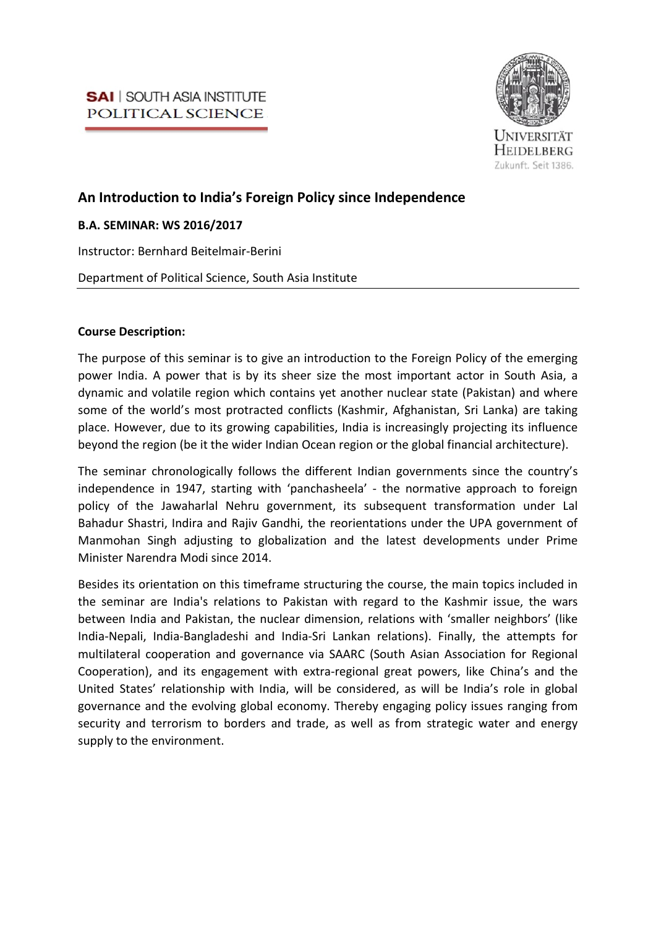

# An Introduction to India's Foreign Policy since Independence

## B.A. SEMINAR: WS 2016/2017

Instructor: Bernhard Beitelmair-Berini

Department of Political Science, South Asia Institute

## Course Description:

The purpose of this seminar is to give an introduction to the Foreign Policy of the emerging power India. A power that is by its sheer size the most important actor in South Asia, a dynamic and volatile region which contains yet another nuclear state (Pakistan) and where some of the world's most protracted conflicts (Kashmir, Afghanistan, Sri Lanka) are taking place. However, due to its growing capabilities, India is increasingly projecting its influence beyond the region (be it the wider Indian Ocean region or the global financial architecture).

The seminar chronologically follows the different Indian governments since the country's independence in 1947, starting with 'panchasheela' - the normative approach to foreign policy of the Jawaharlal Nehru government, its subsequent transformation under Lal Bahadur Shastri, Indira and Rajiv Gandhi, the reorientations under the UPA government of Manmohan Singh adjusting to globalization and the latest developments under Prime Minister Narendra Modi since 2014.

Besides its orientation on this timeframe structuring the course, the main topics included in the seminar are India's relations to Pakistan with regard to the Kashmir issue, the wars between India and Pakistan, the nuclear dimension, relations with 'smaller neighbors' (like India-Nepali, India-Bangladeshi and India-Sri Lankan relations). Finally, the attempts for multilateral cooperation and governance via SAARC (South Asian Association for Regional Cooperation), and its engagement with extra-regional great powers, like China's and the United States' relationship with India, will be considered, as will be India's role in global governance and the evolving global economy. Thereby engaging policy issues ranging from security and terrorism to borders and trade, as well as from strategic water and energy supply to the environment.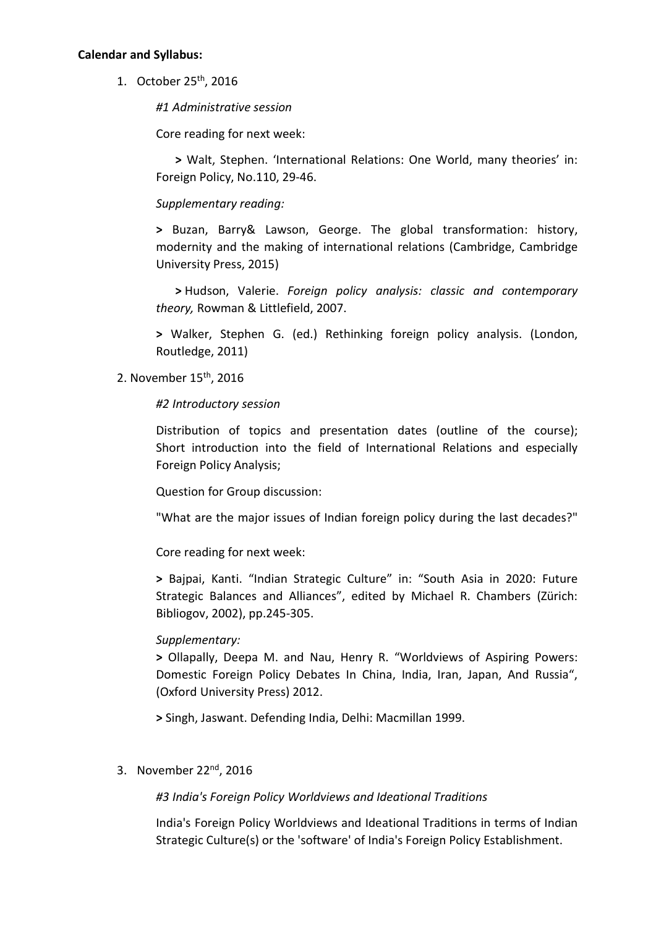### Calendar and Syllabus:

1. October 25th, 2016

#1 Administrative session

Core reading for next week:

> Walt, Stephen. 'International Relations: One World, many theories' in: Foreign Policy, No.110, 29-46.

Supplementary reading:

> Buzan, Barry& Lawson, George. The global transformation: history, modernity and the making of international relations (Cambridge, Cambridge University Press, 2015)

> Hudson, Valerie. Foreign policy analysis: classic and contemporary theory, Rowman & Littlefield, 2007.

> Walker, Stephen G. (ed.) Rethinking foreign policy analysis. (London, Routledge, 2011)

## 2. November 15th, 2016

## #2 Introductory session

Distribution of topics and presentation dates (outline of the course); Short introduction into the field of International Relations and especially Foreign Policy Analysis;

Question for Group discussion:

"What are the major issues of Indian foreign policy during the last decades?"

Core reading for next week:

> Bajpai, Kanti. "Indian Strategic Culture" in: "South Asia in 2020: Future Strategic Balances and Alliances", edited by Michael R. Chambers (Zürich: Bibliogov, 2002), pp.245-305.

## Supplementary:

> Ollapally, Deepa M. and Nau, Henry R. "Worldviews of Aspiring Powers: Domestic Foreign Policy Debates In China, India, Iran, Japan, And Russia", (Oxford University Press) 2012.

> Singh, Jaswant. Defending India, Delhi: Macmillan 1999.

3. November 22nd, 2016

#3 India's Foreign Policy Worldviews and Ideational Traditions

India's Foreign Policy Worldviews and Ideational Traditions in terms of Indian Strategic Culture(s) or the 'software' of India's Foreign Policy Establishment.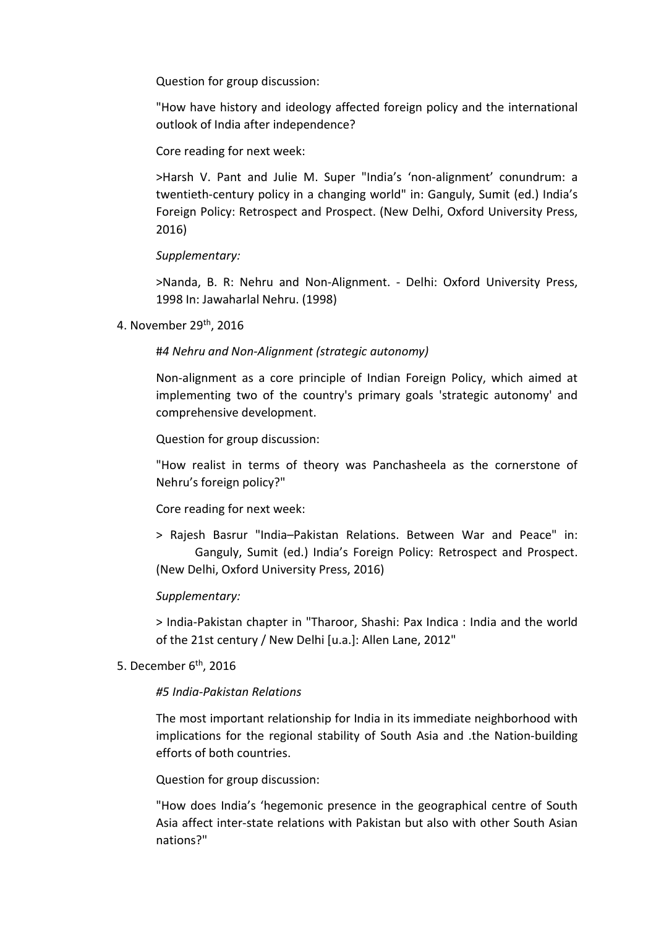Question for group discussion:

"How have history and ideology affected foreign policy and the international outlook of India after independence?

Core reading for next week:

>Harsh V. Pant and Julie M. Super "India's 'non-alignment' conundrum: a twentieth-century policy in a changing world" in: Ganguly, Sumit (ed.) India's Foreign Policy: Retrospect and Prospect. (New Delhi, Oxford University Press, 2016)

Supplementary:

>Nanda, B. R: Nehru and Non-Alignment. - Delhi: Oxford University Press, 1998 In: Jawaharlal Nehru. (1998)

4. November 29th, 2016

#4 Nehru and Non-Alignment (strategic autonomy)

Non-alignment as a core principle of Indian Foreign Policy, which aimed at implementing two of the country's primary goals 'strategic autonomy' and comprehensive development.

Question for group discussion:

"How realist in terms of theory was Panchasheela as the cornerstone of Nehru's foreign policy?"

Core reading for next week:

> Rajesh Basrur "India–Pakistan Relations. Between War and Peace" in: Ganguly, Sumit (ed.) India's Foreign Policy: Retrospect and Prospect. (New Delhi, Oxford University Press, 2016)

## Supplementary:

> India-Pakistan chapter in "Tharoor, Shashi: Pax Indica : India and the world of the 21st century / New Delhi [u.a.]: Allen Lane, 2012"

## 5. December 6<sup>th</sup>, 2016

## #5 India-Pakistan Relations

The most important relationship for India in its immediate neighborhood with implications for the regional stability of South Asia and .the Nation-building efforts of both countries.

Question for group discussion:

"How does India's 'hegemonic presence in the geographical centre of South Asia affect inter-state relations with Pakistan but also with other South Asian nations?"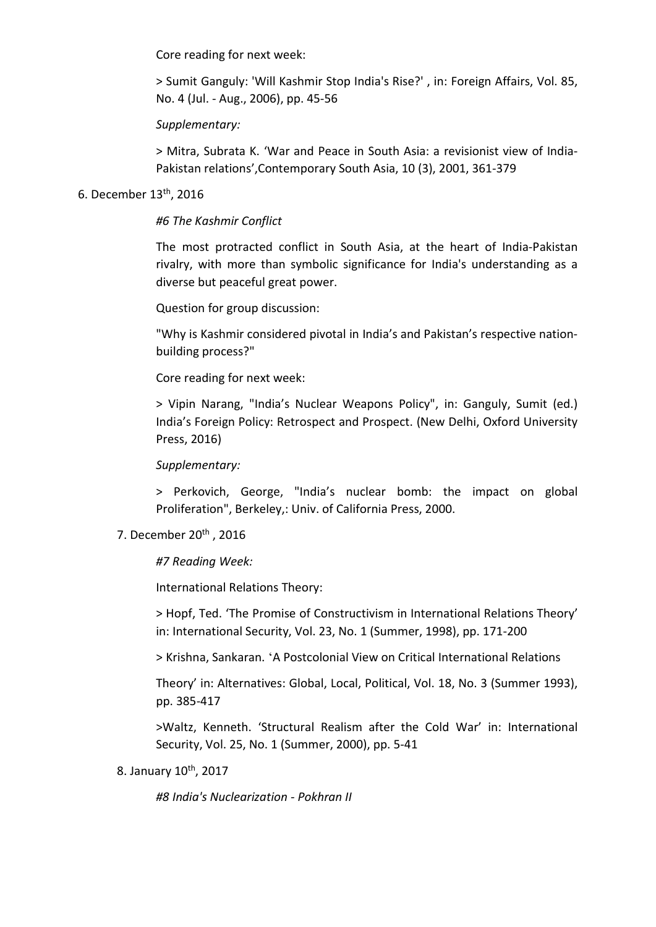Core reading for next week:

> Sumit Ganguly: 'Will Kashmir Stop India's Rise?' , in: Foreign Affairs, Vol. 85, No. 4 (Jul. - Aug., 2006), pp. 45-56

## Supplementary:

> Mitra, Subrata K. 'War and Peace in South Asia: a revisionist view of India-Pakistan relations',Contemporary South Asia, 10 (3), 2001, 361-379

## 6. December 13th, 2016

## #6 The Kashmir Conflict

The most protracted conflict in South Asia, at the heart of India-Pakistan rivalry, with more than symbolic significance for India's understanding as a diverse but peaceful great power.

Question for group discussion:

"Why is Kashmir considered pivotal in India's and Pakistan's respective nationbuilding process?"

Core reading for next week:

> Vipin Narang, "India's Nuclear Weapons Policy", in: Ganguly, Sumit (ed.) India's Foreign Policy: Retrospect and Prospect. (New Delhi, Oxford University Press, 2016)

Supplementary:

> Perkovich, George, "India's nuclear bomb: the impact on global Proliferation", Berkeley,: Univ. of California Press, 2000.

## 7. December 20<sup>th</sup>, 2016

#7 Reading Week:

International Relations Theory:

> Hopf, Ted. 'The Promise of Constructivism in International Relations Theory' in: International Security, Vol. 23, No. 1 (Summer, 1998), pp. 171-200

> Krishna, Sankaran. 'A Postcolonial View on Critical International Relations

Theory' in: Alternatives: Global, Local, Political, Vol. 18, No. 3 (Summer 1993), pp. 385-417

>Waltz, Kenneth. 'Structural Realism after the Cold War' in: International Security, Vol. 25, No. 1 (Summer, 2000), pp. 5-41

8. January 10<sup>th</sup>, 2017

#8 India's Nuclearization - Pokhran II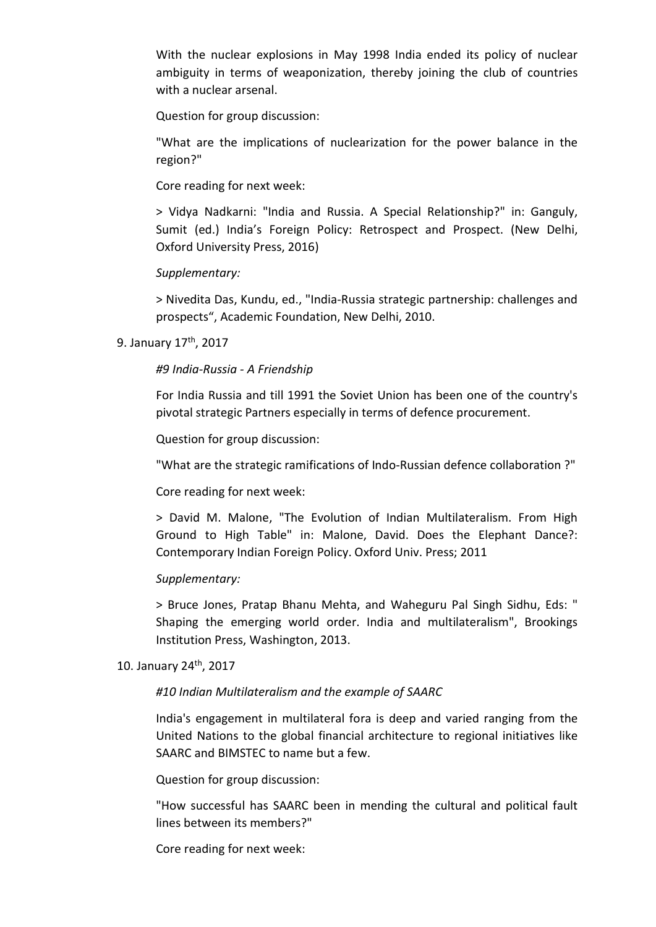With the nuclear explosions in May 1998 India ended its policy of nuclear ambiguity in terms of weaponization, thereby joining the club of countries with a nuclear arsenal.

Question for group discussion:

"What are the implications of nuclearization for the power balance in the region?"

Core reading for next week:

> Vidya Nadkarni: "India and Russia. A Special Relationship?" in: Ganguly, Sumit (ed.) India's Foreign Policy: Retrospect and Prospect. (New Delhi, Oxford University Press, 2016)

Supplementary:

> Nivedita Das, Kundu, ed., "India-Russia strategic partnership: challenges and prospects", Academic Foundation, New Delhi, 2010.

9. January 17th, 2017

#9 India-Russia - A Friendship

For India Russia and till 1991 the Soviet Union has been one of the country's pivotal strategic Partners especially in terms of defence procurement.

Question for group discussion:

"What are the strategic ramifications of Indo-Russian defence collaboration ?"

Core reading for next week:

> David M. Malone, "The Evolution of Indian Multilateralism. From High Ground to High Table" in: Malone, David. Does the Elephant Dance?: Contemporary Indian Foreign Policy. Oxford Univ. Press; 2011

#### Supplementary:

> Bruce Jones, Pratap Bhanu Mehta, and Waheguru Pal Singh Sidhu, Eds: " Shaping the emerging world order. India and multilateralism", Brookings Institution Press, Washington, 2013.

#### 10. January 24th, 2017

## #10 Indian Multilateralism and the example of SAARC

India's engagement in multilateral fora is deep and varied ranging from the United Nations to the global financial architecture to regional initiatives like SAARC and BIMSTEC to name but a few.

Question for group discussion:

"How successful has SAARC been in mending the cultural and political fault lines between its members?"

Core reading for next week: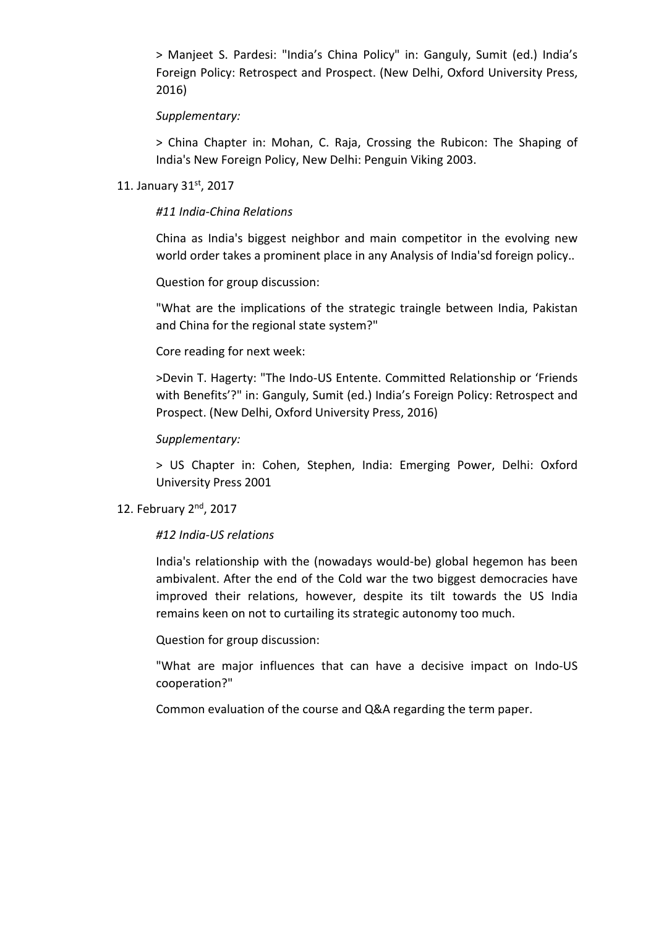> Manjeet S. Pardesi: "India's China Policy" in: Ganguly, Sumit (ed.) India's Foreign Policy: Retrospect and Prospect. (New Delhi, Oxford University Press, 2016)

### Supplementary:

> China Chapter in: Mohan, C. Raja, Crossing the Rubicon: The Shaping of India's New Foreign Policy, New Delhi: Penguin Viking 2003.

### 11. January 31st, 2017

### #11 India-China Relations

China as India's biggest neighbor and main competitor in the evolving new world order takes a prominent place in any Analysis of India'sd foreign policy..

Question for group discussion:

"What are the implications of the strategic traingle between India, Pakistan and China for the regional state system?"

Core reading for next week:

>Devin T. Hagerty: "The Indo-US Entente. Committed Relationship or 'Friends with Benefits'?" in: Ganguly, Sumit (ed.) India's Foreign Policy: Retrospect and Prospect. (New Delhi, Oxford University Press, 2016)

## Supplementary:

> US Chapter in: Cohen, Stephen, India: Emerging Power, Delhi: Oxford University Press 2001

## 12. February 2<sup>nd</sup>, 2017

## #12 India-US relations

India's relationship with the (nowadays would-be) global hegemon has been ambivalent. After the end of the Cold war the two biggest democracies have improved their relations, however, despite its tilt towards the US India remains keen on not to curtailing its strategic autonomy too much.

Question for group discussion:

"What are major influences that can have a decisive impact on Indo-US cooperation?"

Common evaluation of the course and Q&A regarding the term paper.